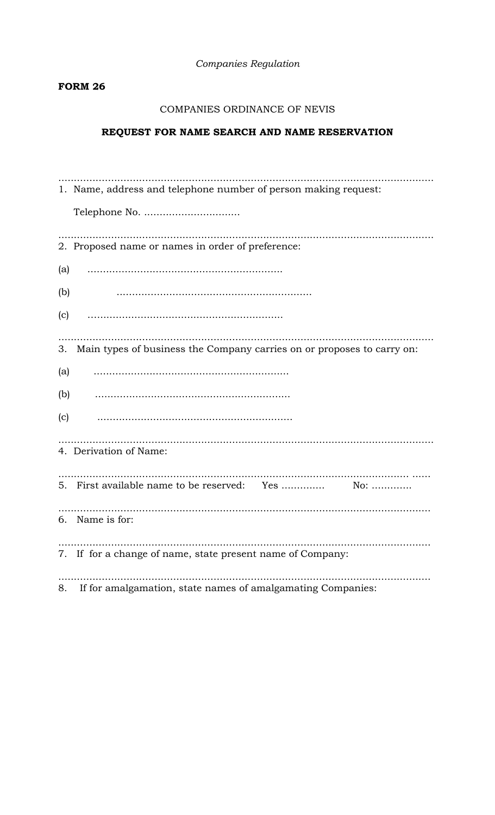Companies Regulation

# **FORM 26**

# COMPANIES ORDINANCE OF NEVIS

# REQUEST FOR NAME SEARCH AND NAME RESERVATION

|     | 1. Name, address and telephone number of person making request:           |
|-----|---------------------------------------------------------------------------|
|     |                                                                           |
|     | 2. Proposed name or names in order of preference:                         |
| (a) |                                                                           |
| (b) |                                                                           |
| (c) |                                                                           |
|     | 3. Main types of business the Company carries on or proposes to carry on: |
| (a) |                                                                           |
| (b) |                                                                           |
| (c) |                                                                           |
|     | 4. Derivation of Name:                                                    |
|     |                                                                           |
|     | 6. Name is for:                                                           |
|     | 7. If for a change of name, state present name of Company:                |
|     | 8. If for amalgamation, state names of amalgamating Companies:            |